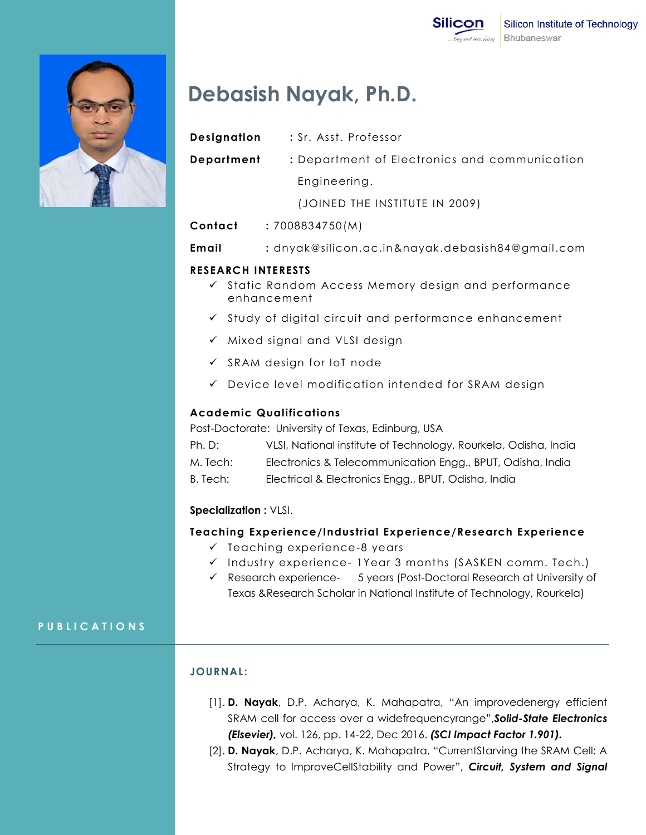

# **Debasish Nayak, Ph.D.**

- **Designation :** Sr. Asst. Professor
- **Department :** Department of Electronics and communication Engineering.

(JOINED THE INSTITUTE IN 2009)

- **Contact :** 7008834750(M)
- **Email :** dnyak@silicon.ac.in&nayak.debasish84@gmail.com

## **RESEARCH INTERESTS**

- $\checkmark$  Static Random Access Memory design and performance enhancement
- $\checkmark$  Study of digital circuit and performance enhancement
- $\checkmark$  Mixed signal and VLSI design
- $\checkmark$  SRAM design for IoT node
- Device level modification intended for SRAM design

## **Academic Qualifications**

Post-Doctorate: University of Texas, Edinburg, USA

| Ph. D:     | VLSI, National institute of Technology, Rourkela, Odisha, India |
|------------|-----------------------------------------------------------------|
| M. Tech: . | Electronics & Telecommunication Engg., BPUT, Odisha, India      |

B. Tech: Electrical & Electronics Engg., BPUT, Odisha, India

# **Specialization :** VLSI.

### **Teaching Experience/Industrial Experience/Research Experience**

- $\checkmark$  Teaching experience-8 years
- $\checkmark$  Industry experience- 1Year 3 months (SASKEN comm. Tech.)
- $\checkmark$  Research experience- 5 years (Post-Doctoral Research at University of Texas &Research Scholar in National Institute of Technology, Rourkela)

# **P U B L I C A T I O N S**

# **JOURNAL :**

- [1]. **D. Nayak**, D.P. Acharya, K. Mahapatra, "An improvedenergy efficient SRAM cell for access over a widefrequencyrange",*Solid-State Electronics (Elsevier),* vol. 126, pp. 14-22, Dec 2016. *(SCI Impact Factor 1.901).*
- [2]. **D. Nayak**, D.P. Acharya, K. Mahapatra, "CurrentStarving the SRAM Cell: A Strategy to ImproveCellStability and Power", *Circuit, System and Signal*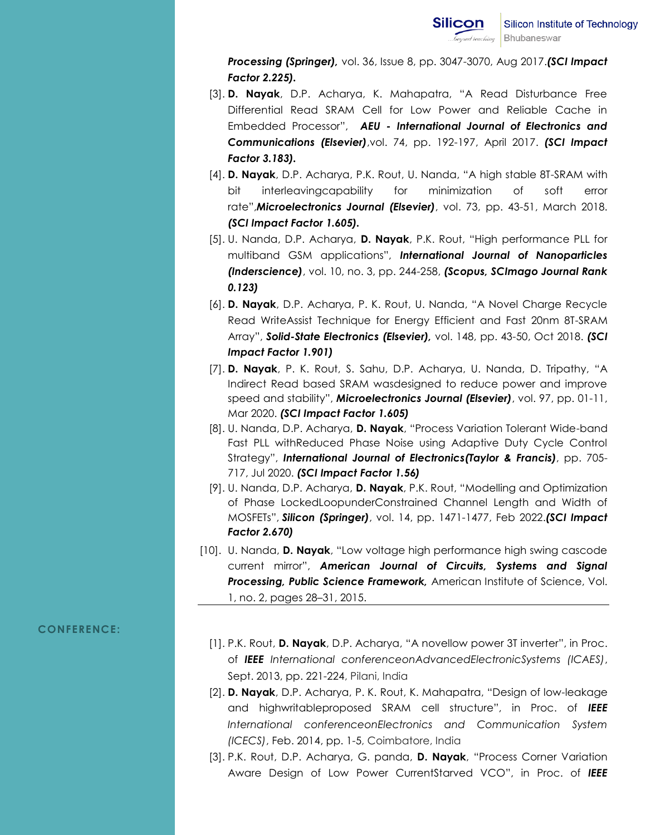*Processing (Springer),* vol. 36, Issue 8, pp. 3047-3070, Aug 2017.*(SCI Impact Factor 2.225).*

- [3]. **D. Nayak**, D.P. Acharya, K. Mahapatra, "A Read Disturbance Free Differential Read SRAM Cell for Low Power and Reliable Cache in Embedded Processor", *AEU - International Journal of Electronics and Communications (Elsevier)*,vol. 74, pp. 192-197, April 2017. *(SCI Impact Factor 3.183).*
- [4]. **D. Nayak**, D.P. Acharya, P.K. Rout, U. Nanda, "A high stable 8T-SRAM with bit interleavingcapability for minimization of soft error rate",*Microelectronics Journal (Elsevier)*, vol. 73, pp. 43-51, March 2018. *(SCI Impact Factor 1.605).*
- [5]. U. Nanda, D.P. Acharya, **D. Nayak**, P.K. Rout, "High performance PLL for multiband GSM applications", *International Journal of Nanoparticles (Inderscience)*, vol. 10, no. 3, pp. 244-258, *(Scopus, SCImago Journal Rank 0.123)*
- [6]. **D. Nayak**, D.P. Acharya, P. K. Rout, U. Nanda, "A Novel Charge Recycle Read WriteAssist Technique for Energy Efficient and Fast 20nm 8T-SRAM Array", *Solid-State Electronics (Elsevier),* vol. 148, pp. 43-50, Oct 2018. *(SCI Impact Factor 1.901)*
- [7]. **D. Nayak**, P. K. Rout, S. Sahu, D.P. Acharya, U. Nanda, D. Tripathy, "A Indirect Read based SRAM wasdesigned to reduce power and improve speed and stability", *Microelectronics Journal (Elsevier)*, vol. 97, pp. 01-11, Mar 2020. *(SCI Impact Factor 1.605)*
- [8]. U. Nanda, D.P. Acharya, **D. Nayak**, "Process Variation Tolerant Wide-band Fast PLL withReduced Phase Noise using Adaptive Duty Cycle Control Strategy", *International Journal of Electronics(Taylor & Francis)*, pp. 705- 717, Jul 2020. *(SCI Impact Factor 1.56)*
- [9]. U. Nanda, D.P. Acharya, **D. Nayak**, P.K. Rout, "Modelling and Optimization of Phase LockedLoopunderConstrained Channel Length and Width of MOSFETs", *Silicon (Springer)*, vol. 14, pp. 1471-1477, Feb 2022.*(SCI Impact Factor 2.670)*
- [10]. U. Nanda, **D. Nayak**, "Low voltage high performance high swing cascode current mirror", *American Journal of Circuits, Systems and Signal Processing, Public Science Framework,* American Institute of Science, Vol. 1, no. 2, pages 28–31, 2015.

#### **CONFERENCE:**

- [1]. P.K. Rout, **D. Nayak**, D.P. Acharya, "A novellow power 3T inverter", in Proc. of *IEEE International conferenceonAdvancedElectronicSystems (ICAES)*, Sept. 2013, pp. 221-224, Pilani, India
- [2]. **D. Nayak**, D.P. Acharya, P. K. Rout, K. Mahapatra, "Design of low-leakage and highwritableproposed SRAM cell structure", in Proc. of *IEEE International conferenceonElectronics and Communication System (ICECS)*, Feb. 2014, pp. 1-5, Coimbatore, India
- [3]. P.K. Rout, D.P. Acharya, G. panda, **D. Nayak**, "Process Corner Variation Aware Design of Low Power CurrentStarved VCO", in Proc. of *IEEE*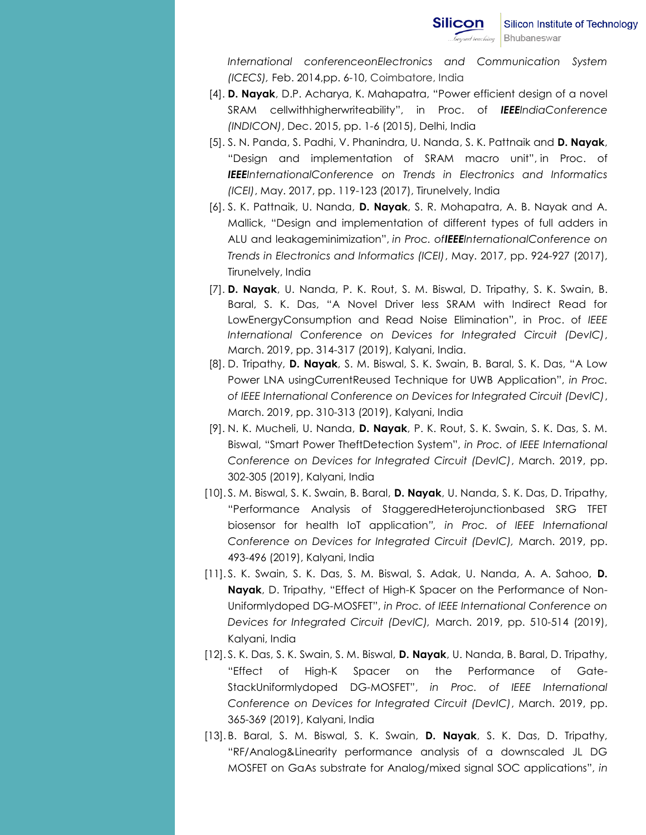*International conferenceonElectronics and Communication System (ICECS),* Feb. 2014,pp. 6-10, Coimbatore, India

- [4]. **D. Nayak**, D.P. Acharya, K. Mahapatra, "Power efficient design of a novel SRAM cellwithhigherwriteability", in Proc. of *IEEEIndiaConference (INDICON)*, Dec. 2015, pp. 1-6 (2015), Delhi, India
- [5]. S. N. Panda, S. Padhi, V. Phanindra, U. Nanda, S. K. Pattnaik and **D. Nayak**, "Design and implementation of SRAM macro unit", in Proc. of *IEEEInternationalConference on Trends in Electronics and Informatics (ICEI)*, May. 2017, pp. 119-123 (2017), Tirunelvely, India
- [6]. S. K. Pattnaik, U. Nanda, **D. Nayak**, S. R. Mohapatra, A. B. Nayak and A. Mallick, "Design and implementation of different types of full adders in ALU and leakageminimization", *in Proc. ofIEEEInternationalConference on Trends in Electronics and Informatics (ICEI)*, May. 2017, pp. 924-927 (2017), Tirunelvely, India
- [7]. **D. Nayak**, U. Nanda, P. K. Rout, S. M. Biswal, D. Tripathy, S. K. Swain, B. Baral, S. K. Das, "A Novel Driver less SRAM with Indirect Read for LowEnergyConsumption and Read Noise Elimination", in Proc. of *IEEE International Conference on Devices for Integrated Circuit (DevIC)*, March. 2019, pp. 314-317 (2019), Kalyani, India.
- [8]. D. Tripathy, **D. Nayak**, S. M. Biswal, S. K. Swain, B. Baral, S. K. Das, "A Low Power LNA usingCurrentReused Technique for UWB Application", *in Proc. of IEEE International Conference on Devices for Integrated Circuit (DevIC)*, March. 2019, pp. 310-313 (2019), Kalyani, India
- [9]. N. K. Mucheli, U. Nanda, **D. Nayak**, P. K. Rout, S. K. Swain, S. K. Das, S. M. Biswal, "Smart Power TheftDetection System", *in Proc. of IEEE International Conference on Devices for Integrated Circuit (DevIC)*, March. 2019, pp. 302-305 (2019), Kalyani, India
- [10]. S. M. Biswal, S. K. Swain, B. Baral, **D. Nayak**, U. Nanda, S. K. Das, D. Tripathy, "Performance Analysis of StaggeredHeterojunctionbased SRG TFET biosensor for health IoT application*", in Proc. of IEEE International Conference on Devices for Integrated Circuit (DevIC),* March. 2019, pp. 493-496 (2019), Kalyani, India
- [11]. S. K. Swain, S. K. Das, S. M. Biswal, S. Adak, U. Nanda, A. A. Sahoo, **D. Nayak**, D. Tripathy, "Effect of High-K Spacer on the Performance of Non-Uniformlydoped DG-MOSFET", *in Proc. of IEEE International Conference on Devices for Integrated Circuit (DevIC),* March. 2019, pp. 510-514 (2019), Kalyani, India
- [12]. S. K. Das, S. K. Swain, S. M. Biswal, **D. Nayak**, U. Nanda, B. Baral, D. Tripathy, "Effect of High-K Spacer on the Performance of Gate-StackUniformlydoped DG-MOSFET", *in Proc. of IEEE International Conference on Devices for Integrated Circuit (DevIC)*, March. 2019, pp. 365-369 (2019), Kalyani, India
- [13]. B. Baral, S. M. Biswal, S. K. Swain, **D. Nayak**, S. K. Das, D. Tripathy, "RF/Analog&Linearity performance analysis of a downscaled JL DG MOSFET on GaAs substrate for Analog/mixed signal SOC applications", *in*